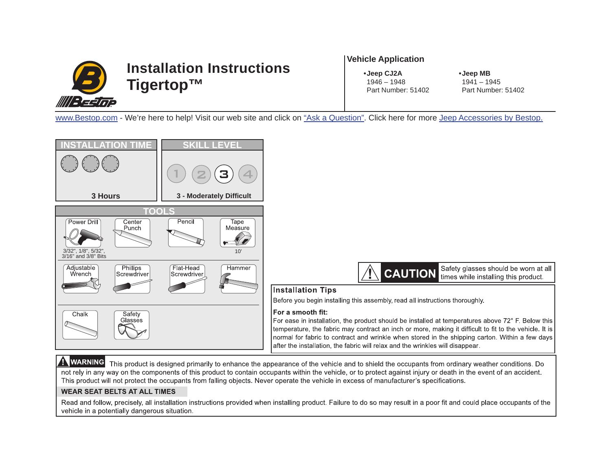

#### **Vehicle Application**

**• Jeep CJ2A**

**• Jeep MB** 1941 – 1945 Part Number: 51402

[www.Bestop.com](www.bestop.com) - We're here to help! Visit our web site and click on ["Ask a Question".](www.bestop.com/index.php?a=2) Click here for mor[e Jeep Accessories by Bestop.](www.bestop.com/index.php?a=20&o=jeep-accessories)



Read and follow, precisely, all installation instructions provided when installing product. Failure to do so may result in a poor fit and could place occupants of the vehicle in a potentially dangerous situation.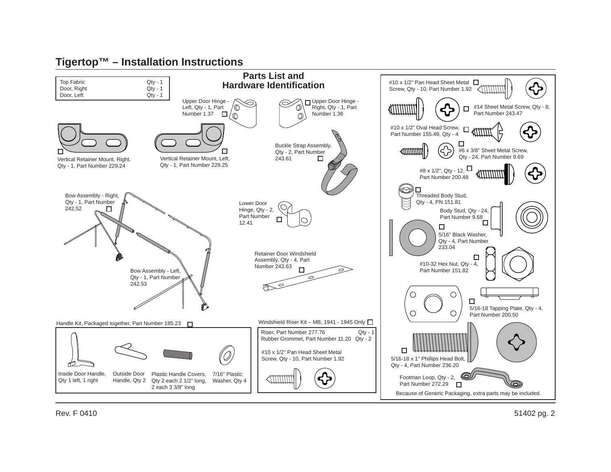

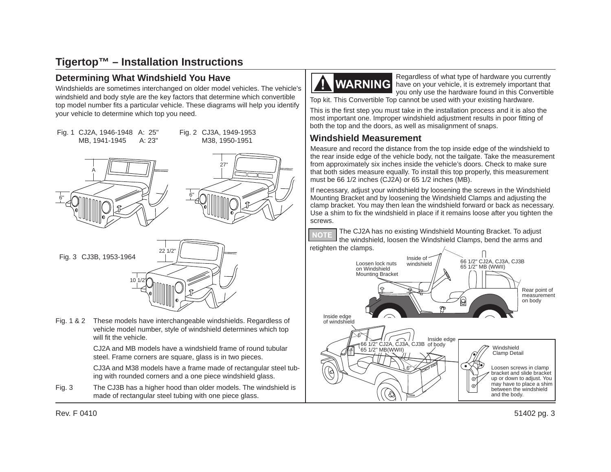#### **Determining What Windshield You Have**

Windshields are sometimes interchanged on older model vehicles. The vehicle's windshield and body style are the key factors that determine which convertible top model number fits a particular vehicle. These diagrams will help you identify your vehicle to determine which top you need.









Fig. 1 & 2 These models have interchangeable windshields. Regardless of vehicle model number, style of windshield determines which top will fit the vehicle.

> CJ2A and MB models have a windshield frame of round tubular steel. Frame corners are square, glass is in two pieces.

 CJ3A and M38 models have a frame made of rectangular steel tubing with rounded corners and a one piece windshield glass.

Fig. 3 The CJ3B has a higher hood than older models. The windshield is made of rectangular steel tubing with one piece glass.



Regardless of what type of hardware you currently have on your vehicle, it is extremely important that you only use the hardware found in this Convertible

Top kit. This Convertible Top cannot be used with your existing hardware.

This is the first step you must take in the installation process and it is also the most important one. Improper windshield adjustment results in poor fitting of both the top and the doors, as well as misalignment of snaps.

#### **Windshield Measurement**

Measure and record the distance from the top inside edge of the windshield to the rear inside edge of the vehicle body, not the tailgate. Take the measurement from approximately six inches inside the vehicle's doors. Check to make sure that both sides measure equally. To install this top properly, this measurement must be 66 1/2 inches (CJ2A) or 65 1/2 inches (MB).

If necessary, adjust your windshield by loosening the screws in the Windshield Mounting Bracket and by loosening the Windshield Clamps and adjusting the clamp bracket. You may then lean the windshield forward or back as necessary. Use a shim to fix the windshield in place if it remains loose after you tighten the screws.

The CJ2A has no existing Windshield Mounting Bracket. To adjust **NOTE** the windshield, loosen the Windshield Clamps, bend the arms and retighten the clamps.



Rev. F 0410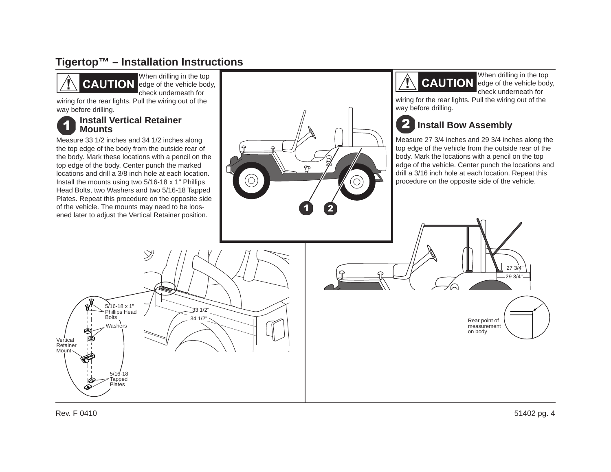

When drilling in the top **CAUTION** edge of the vehicle body, check underneath for

 wiring for the rear lights. Pull the wiring out of the way before drilling.

#### **Install Vertical Retainer Mounts**

Measure 33 1/2 inches and 34 1/2 inches along the top edge of the body from the outside rear of the body. Mark these locations with a pencil on the top edge of the body. Center punch the marked locations and drill a 3/8 inch hole at each location. Install the mounts using two 5/16-18 x 1" Phillips Head Bolts, two Washers and two 5/16-18 Tapped Plates. Repeat this procedure on the opposite side of the vehicle. The mounts may need to be loosened later to adjust the Vertical Retainer position.



When drilling in the top **CAUTION** edge of the vehicle body, check underneath for

wiring for the rear lights. Pull the wiring out of the way before drilling.

#### $\overline{\mathbf{2}}$ **Install Bow Assembly**

Measure 27 3/4 inches and 29 3/4 inches along the top edge of the vehicle from the outside rear of the body. Mark the locations with a pencil on the top edge of the vehicle. Center punch the locations and drill a 3/16 inch hole at each location. Repeat this procedure on the opposite side of the vehicle.

> Rear point of measurement on body

 $-293/4"$ 27 3/4"



51402 pg. 4

Rev. F 0410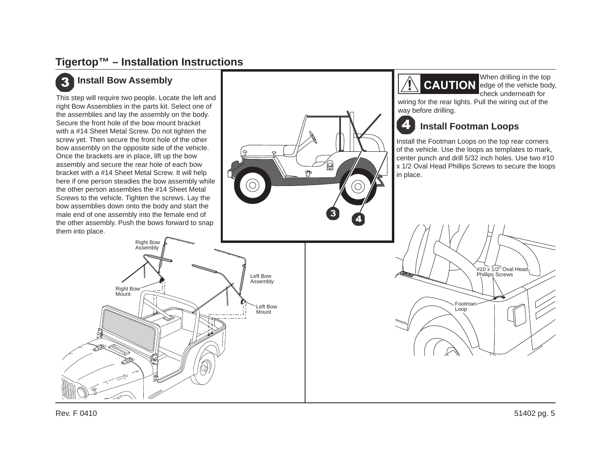#### 3 **Install Bow Assembly**

This step will require two people. Locate the left and right Bow Assemblies in the parts kit. Select one of the assemblies and lay the assembly on the body. Secure the front hole of the bow mount bracket with a #14 Sheet Metal Screw. Do not tighten the screw yet. Then secure the front hole of the other bow assembly on the opposite side of the vehicle. Once the brackets are in place, lift up the bow assembly and secure the rear hole of each bow bracket with a #14 Sheet Metal Screw. It will help here if one person steadies the bow assembly while the other person assembles the #14 Sheet Metal Screws to the vehicle. Tighten the screws. Lay the bow assemblies down onto the body and start the male end of one assembly into the female end of the other assembly. Push the bows forward to snap them into place.





When drilling in the top **CAUTION** edge of the vehicle body, check underneath for

wiring for the rear lights. Pull the wiring out of the way before drilling.

#### 4 **Install Footman Loops**

Install the Footman Loops on the top rear corners of the vehicle. Use the loops as templates to mark, center punch and drill 5/32 inch holes. Use two #10 x 1/2 Oval Head Phillips Screws to secure the loops in place.

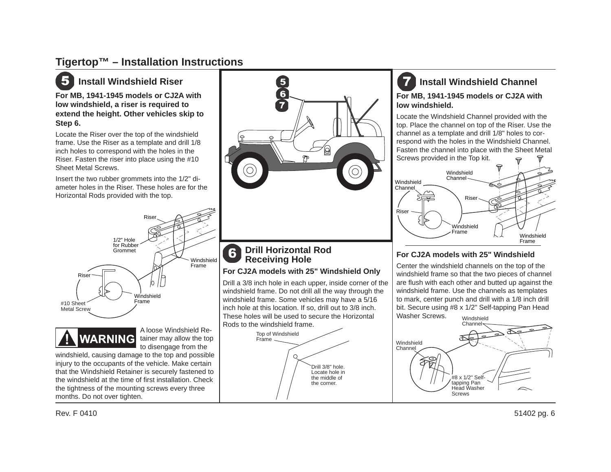

### **Install Windshield Riser**

**For MB, 1941-1945 models or CJ2A with low windshield, a riser is required to extend the height. Other vehicles skip to Step 6.**

Locate the Riser over the top of the windshield frame. Use the Riser as a template and drill 1/8 inch holes to correspond with the holes in the Riser. Fasten the riser into place using the #10 Sheet Metal Screws.

Insert the two rubber grommets into the 1/2" diameter holes in the Riser. These holes are for the Horizontal Rods provided with the top.



#### **Drill Horizontal Rod** 6 **Receiving Hole**

#### **For CJ2A models with 25" Windshield Only**

Drill a 3/8 inch hole in each upper, inside corner of the windshield frame. Do not drill all the way through the windshield frame. Some vehicles may have a 5/16 inch hole at this location. If so, drill out to 3/8 inch. These holes will be used to secure the Horizontal Rods to the windshield frame.



### **Install Windshield Channel For MB, 1941-1945 models or CJ2A with low windshield.**

Locate the Windshield Channel provided with the top. Place the channel on top of the Riser. Use the channel as a template and drill 1/8" holes to correspond with the holes in the Windshield Channel. Fasten the channel into place with the Sheet Metal Screws provided in the Top kit.



#### **For CJ2A models with 25" Windshield**

Center the windshield channels on the top of the windshield frame so that the two pieces of channel are flush with each other and butted up against the windshield frame. Use the channels as templates to mark, center punch and drill with a 1/8 inch drill bit. Secure using #8 x 1/2" Self-tapping Pan Head Washer Screws.Windshield







A loose Windshield Retainer may allow the top to disengage from the

windshield, causing damage to the top and possible injury to the occupants of the vehicle. Make certain that the Windshield Retainer is securely fastened to the windshield at the time of first installation. Check the tightness of the mounting screws every three months. Do not over tighten.

Rev. F 0410

51402 pg. 6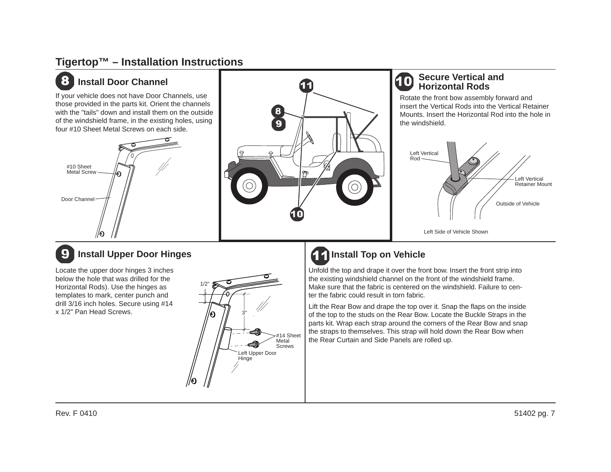#### 8 **Install Door Channel**

If your vehicle does not have Door Channels, use those provided in the parts kit. Orient the channels with the "tails" down and install them on the outside of the windshield frame, in the existing holes, using four #10 Sheet Metal Screws on each side.





#### **Secure Vertical and** 10 **Horizontal Rods**

Rotate the front bow assembly forward and insert the Vertical Rods into the Vertical Retainer Mounts. Insert the Horizontal Rod into the hole in the windshield.



#### 9 **Install Upper Door Hinges**

Locate the upper door hinges 3 inches below the hole that was drilled for the Horizontal Rods). Use the hinges as templates to mark, center punch and drill 3/16 inch holes. Secure using #14 x 1/2" Pan Head Screws.



# **Install Top on Vehicle**

Unfold the top and drape it over the front bow. Insert the front strip into the existing windshield channel on the front of the windshield frame. Make sure that the fabric is centered on the windshield. Failure to center the fabric could result in torn fabric.

Lift the Rear Bow and drape the top over it. Snap the flaps on the inside of the top to the studs on the Rear Bow. Locate the Buckle Straps in the parts kit. Wrap each strap around the corners of the Rear Bow and snap the straps to themselves. This strap will hold down the Rear Bow when the Rear Curtain and Side Panels are rolled up.

Rev. F 0410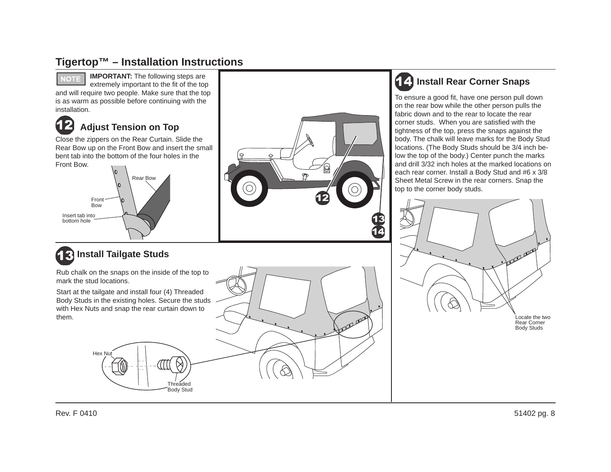

### **IMPORTANT:** The following steps are

extremely important to the fit of the top and will require two people. Make sure that the top is as warm as possible before continuing with the installation.



### **Adjust Tension on Top**

Close the zippers on the Rear Curtain. Slide the Rear Bow up on the Front Bow and insert the small bent tab into the bottom of the four holes in the Front Bow.



# **13 Install Tailgate Studs**

Rub chalk on the snaps on the inside of the top to mark the stud locations.

Start at the tailgate and install four (4) Threaded Body Studs in the existing holes. Secure the studs with Hex Nuts and snap the rear curtain down to them.





## **Install Rear Corner Snaps**

To ensure a good fit, have one person pull down on the rear bow while the other person pulls the fabric down and to the rear to locate the rear corner studs. When you are satisfied with the tightness of the top, press the snaps against the body. The chalk will leave marks for the Body Stud locations. (The Body Studs should be 3/4 inch below the top of the body.) Center punch the marks and drill 3/32 inch holes at the marked locations on each rear corner. Install a Body Stud and #6 x 3/8 Sheet Metal Screw in the rear corners. Snap the top to the corner body studs.



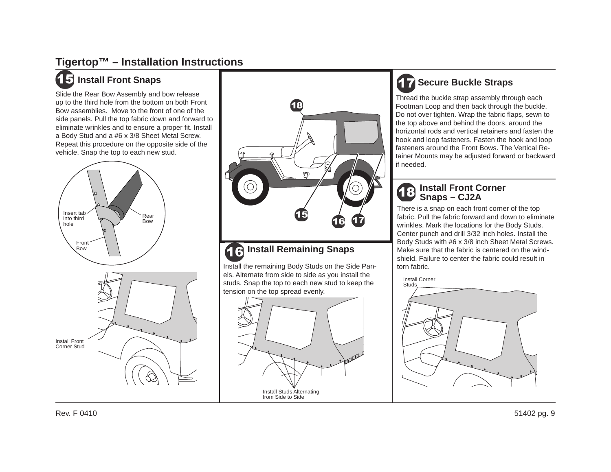## **Install Front Snaps**

Slide the Rear Bow Assembly and bow release up to the third hole from the bottom on both Front Bow assemblies. Move to the front of one of the side panels. Pull the top fabric down and forward to eliminate wrinkles and to ensure a proper fit. Install a Body Stud and a #6 x 3/8 Sheet Metal Screw. Repeat this procedure on the opposite side of the vehicle. Snap the top to each new stud.





#### **16 Install Remaining Snaps**

Install the remaining Body Studs on the Side Panels. Alternate from side to side as you install the studs. Snap the top to each new stud to keep the tension on the top spread evenly.



## **Secure Buckle Straps**

Thread the buckle strap assembly through each Footman Loop and then back through the buckle. Do not over tighten. Wrap the fabric flaps, sewn to the top above and behind the doors, around the horizontal rods and vertical retainers and fasten the hook and loop fasteners. Fasten the hook and loop fasteners around the Front Bows. The Vertical Retainer Mounts may be adjusted forward or backward if needed.

#### **Install Front Corner Snaps – CJ2A**

There is a snap on each front corner of the top fabric. Pull the fabric forward and down to eliminate wrinkles. Mark the locations for the Body Studs. Center punch and drill 3/32 inch holes. Install the Body Studs with #6 x 3/8 inch Sheet Metal Screws. Make sure that the fabric is centered on the windshield. Failure to center the fabric could result in torn fabric.

Install Corner

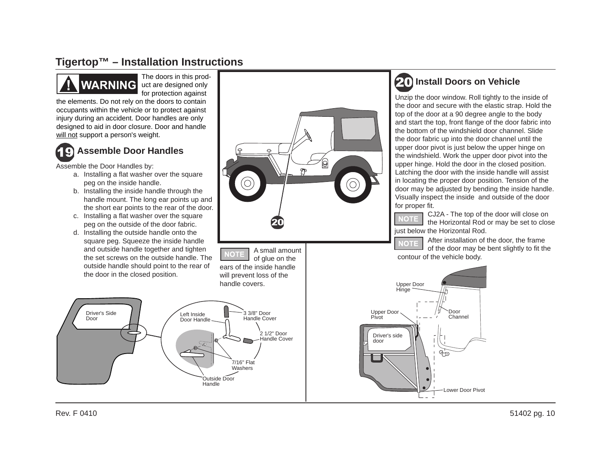

The doors in this product are designed only for protection against

the elements. Do not rely on the doors to contain occupants within the vehicle or to protect against injury during an accident. Door handles are only designed to aid in door closure. Door and handle will not support a person's weight.



## **Assemble Door Handles**

Assemble the Door Handles by:

- a. Installing a flat washer over the square peg on the inside handle.
- b. Installing the inside handle through the handle mount. The long ear points up and the short ear points to the rear of the door.
- c. Installing a flat washer over the square peg on the outside of the door fabric.
- d. Installing the outside handle onto the square peg. Squeeze the inside handle and outside handle together and tighten the set screws on the outside handle. The outside handle should point to the rear of the door in the closed position.



A small amount of glue on the ears of the inside handle will prevent loss of the handle covers.



## **Install Doors on Vehicle**

Unzip the door window. Roll tightly to the inside of the door and secure with the elastic strap. Hold the top of the door at a 90 degree angle to the body and start the top, front flange of the door fabric into the bottom of the windshield door channel. Slide the door fabric up into the door channel until the upper door pivot is just below the upper hinge on the windshield. Work the upper door pivot into the upper hinge. Hold the door in the closed position. Latching the door with the inside handle will assist in locating the proper door position. Tension of the door may be adjusted by bending the inside handle. Visually inspect the inside and outside of the door for proper fit.

CJ2A - The top of the door will close on NOTE the Horizontal Rod or may be set to close just below the Horizontal Rod.

After installation of the door, the frame of the door may be bent slightly to fit the contour of the vehicle body.

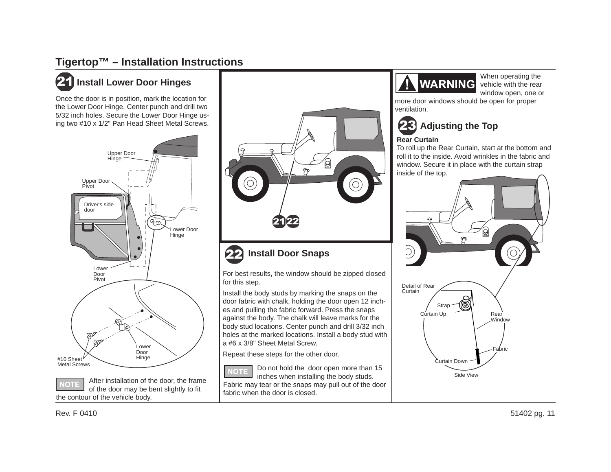## **21** Install Lower Door Hinges

Once the door is in position, mark the location for the Lower Door Hinge. Center punch and drill two 5/32 inch holes. Secure the Lower Door Hinge using two #10 x 1/2" Pan Head Sheet Metal Screws.



After installation of the door, the frame **IOT** of the door may be bent slightly to fit the contour of the vehicle body.





For best results, the window should be zipped closed for this step.

Install the body studs by marking the snaps on the door fabric with chalk, holding the door open 12 inches and pulling the fabric forward. Press the snaps against the body. The chalk will leave marks for the body stud locations. Center punch and drill 3/32 inch holes at the marked locations. Install a body stud with a #6 x 3/8" Sheet Metal Screw.

Repeat these steps for the other door.

Do not hold the door open more than 15 **NOTE** inches when installing the body studs. Fabric may tear or the snaps may pull out of the door fabric when the door is closed.



When operating the vehicle with the rear window open, one or

more door windows should be open for proper ventilation.



#### **Rear Curtain**

To roll up the Rear Curtain, start at the bottom and roll it to the inside. Avoid wrinkles in the fabric and window. Secure it in place with the curtain strap inside of the top.

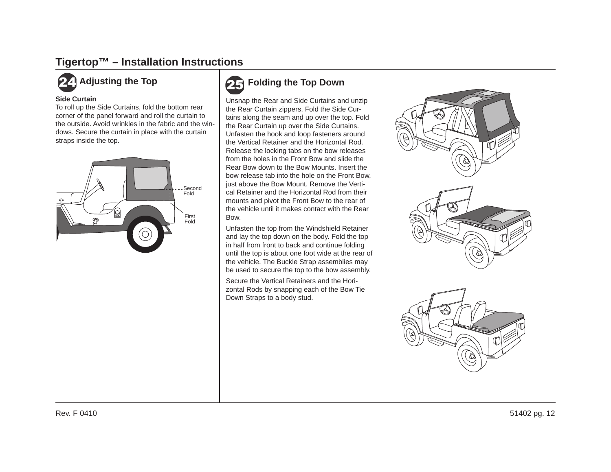#### **Side Curtain**

To roll up the Side Curtains, fold the bottom rear corner of the panel forward and roll the curtain to the outside. Avoid wrinkles in the fabric and the windows. Secure the curtain in place with the curtain straps inside the top.



## **Adjusting the Top Folding the Top Down**

Unsnap the Rear and Side Curtains and unzip the Rear Curtain zippers. Fold the Side Curtains along the seam and up over the top. Fold the Rear Curtain up over the Side Curtains. Unfasten the hook and loop fasteners around the Vertical Retainer and the Horizontal Rod. Release the locking tabs on the bow releases from the holes in the Front Bow and slide the Rear Bow down to the Bow Mounts. Insert the bow release tab into the hole on the Front Bow, just above the Bow Mount. Remove the Vertical Retainer and the Horizontal Rod from their mounts and pivot the Front Bow to the rear of the vehicle until it makes contact with the Rear Bow.

Unfasten the top from the Windshield Retainer and lay the top down on the body. Fold the top in half from front to back and continue folding until the top is about one foot wide at the rear of the vehicle. The Buckle Strap assemblies may be used to secure the top to the bow assembly.

Secure the Vertical Retainers and the Horizontal Rods by snapping each of the Bow Tie Down Straps to a body stud.